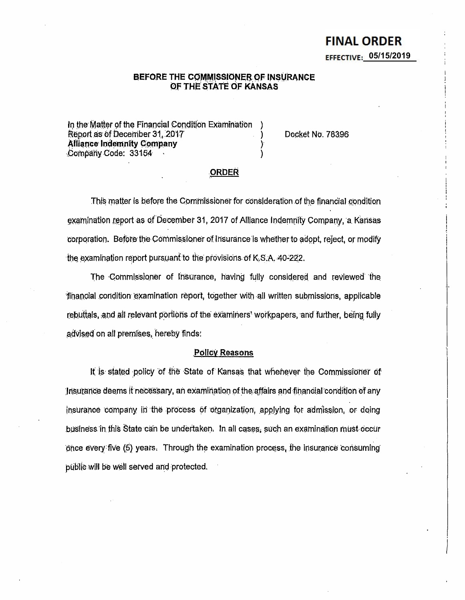# **FINAL ORDER** EFFECTIVE:  $05/15/2019$

# BEFORE THE COMMISSIONER OF INSURANCE OF THE STATE OF KANSAS

In the Matter of the Financial Condition Examination Report as of December 31, 2017 **Alliance Indemnity Company** Company Code: 33154

Docket No. 78396

# **ORDER**

This matter is before the Commissioner for consideration of the financial condition examination report as of December 31, 2017 of Alliance Indemnity Company, a Kansas corporation. Before the Commissioner of Insurance is whether to adopt, reject, or modify the examination report pursuant to the provisions of K.S.A. 40-222.

The Commissioner of Insurance, having fully considered and reviewed the financial condition examination report, together with all written submissions, applicable rebuttals, and all relevant portions of the examiners' workpapers, and further, being fully advised on all premises, hereby finds:

#### **Policy Reasons**

It is stated policy of the State of Kansas that whenever the Commissioner of Insurance deems it necessary, an examination of the affairs and financial condition of any insurance company in the process of organization, applying for admission, or doing business in this State can be undertaken. In all cases, such an examination must occur once every five (5) years. Through the examination process, the insurance consuming public will be well served and protected.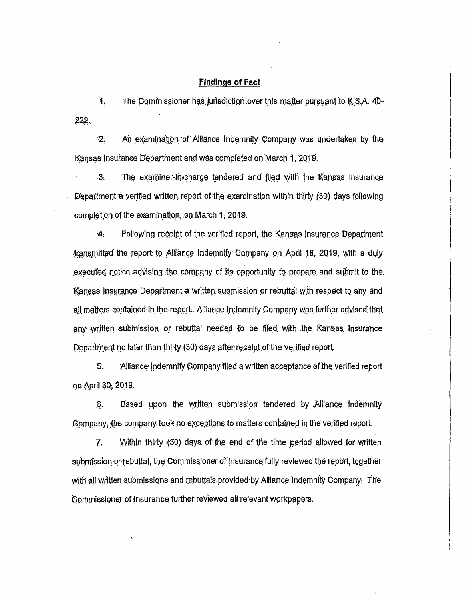### **Findings of Fact**

 $\ddot{1}$ The Commissioner has jurisdiction over this matter pursuant to K.S.A. 40-222.

 $\cdot$ 2. An examination of Alliance Indemnity Company was undertaken by the Kansas Insurance Department and was completed on March 1, 2019.

 $3<sub>i</sub>$ The examiner-in-charge tendered and filed with the Kansas Insurance Department a verified written report of the examination within thirty (30) days following completion of the examination, on March 1, 2019.

 $\boldsymbol{4}$ Following receipt of the verified report, the Kansas Insurance Department transmitted the report to Alliance Indemnity Company on April 18, 2019, with a duly executed notice advising the company of its opportunity to prepare and submit to the Kansas Insurance Department a written submission or rebuttal with respect to any and all matters contained in the report. Alliance Indemnity Company was further advised that any written submission or rebuttal needed to be filed with the Kansas Insurance Department no later than thirty (30) days after receipt of the verified report.

 $5.$ Alliance Indemnity Company filed a written acceptance of the verified report on April 30, 2019.

6. Based upon the written submission tendered by Alliance Indemnity Company, the company took no exceptions to matters contained in the verified report.

7. Within thirty (30) days of the end of the time period allowed for written submission or rebuttal, the Commissioner of Insurance fully reviewed the report, together with all written submissions and rebuttals provided by Alliance Indemnity Company. The Commissioner of Insurance further reviewed all relevant workpapers.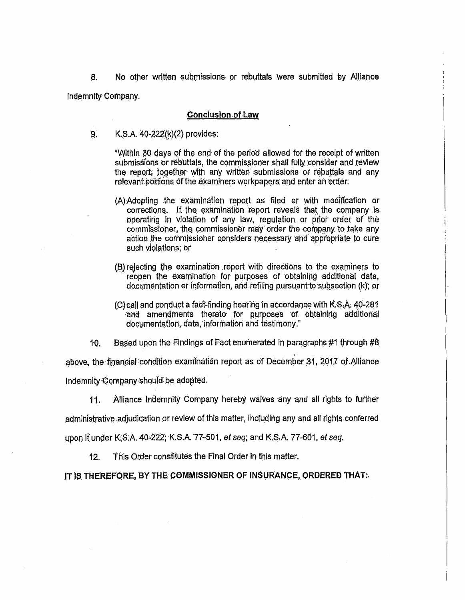No other written submissions or rebuttals were submitted by Alliance  $\bf{B}$ Indemnity Company.

# **Conclusion of Law**

K.S.A. 40-222(k)(2) provides:  $9<sub>1</sub>$ 

> "Within 30 days of the end of the period allowed for the receipt of written submissions or rebuttals, the commissioner shall fully consider and review the report, together with any written submissions or rebuttals and any relevant portions of the examiners workpapers and enter an order:

- (A) Adopting the examination report as filed or with modification or corrections. If the examination report reveals that the company is operating in violation of any law, regulation or prior order of the commissioner, the commissioner may order the company to take any action the commissioner considers necessary and appropriate to cure such violations: or
- (B) rejecting the examination report with directions to the examiners to reopen the examination for purposes of obtaining additional data, documentation or information, and refiling pursuant to subsection (k); or
- (C) call and conduct a fact-finding hearing in accordance with K.S.A. 40-281 and amendments thereto for purposes of obtaining additional documentation, data, information and testimony."

 $10.$ Based upon the Findings of Fact enumerated in paragraphs #1 through #8

above, the financial condition examination report as of December 31, 2017 of Alliance Indemnity Company should be adopted.

 $11.$ Alliance Indemnity Company hereby waives any and all rights to further

administrative adjudication or review of this matter, including any and all rights conferred

upon it under K.S.A. 40-222, K.S.A. 77-501, et seq; and K.S.A. 77-601, et seq.

This Order constitutes the Final Order in this matter.  $12.$ 

IT IS THEREFORE. BY THE COMMISSIONER OF INSURANCE, ORDERED THAT: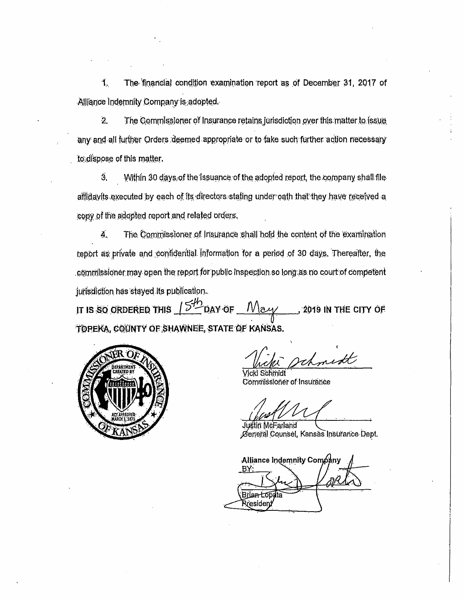The financial condition examination report as of December 31, 2017 of 1. Alliance Indemnity Company is adopted.

 $\overline{2}$ . The Commissioner of Insurance retains jurisdiction over this matter to issue any and all further Orders deemed appropriate or to take such further action necessary to dispose of this matter.

 $\ddot{3}$ . Within 30 days of the issuance of the adopted report, the company shall file affidavits executed by each of its directors stating under oath that they have received a copy of the adopted report and related orders.

The Commissioner of Insurance shall hold the content of the examination 4. report as private and confidential information for a period of 30 days. Thereafter, the commissioner may open the report for public inspection so long as no court of competent jurisdiction has stayed its publication.

 $15<sup>4</sup>$ DAY OF <u>May</u> IT IS SO ORDERED THIS 2019 IN THE CITY OF TOREKA, COUNTY OF SHAWNEE, STATE OF KANSAS.



Vicki Schmidt Commissioner of Insurance

ustin McFarland General Counsel, Kansas Insurance Dept.

Alliance Indemnity Company BÝ: Briantop .<br>Rresident